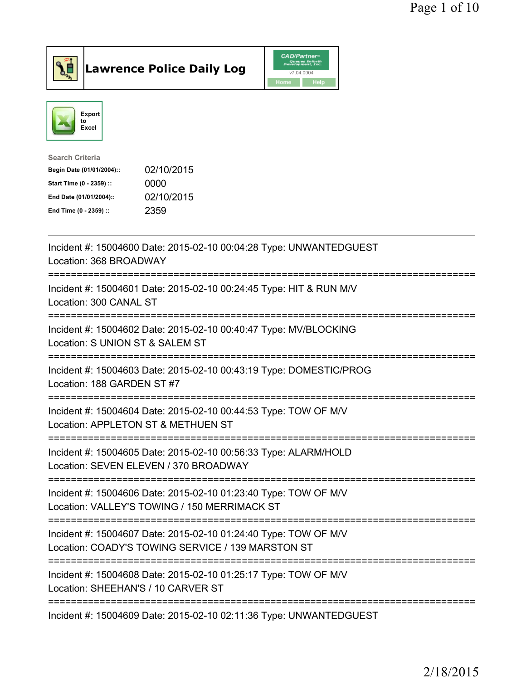



| <b>Search Criteria</b>    |            |
|---------------------------|------------|
| Begin Date (01/01/2004):: | 02/10/2015 |
| Start Time (0 - 2359) ::  | 0000       |
| End Date (01/01/2004)::   | 02/10/2015 |
| End Time (0 - 2359) ::    | 2359       |
|                           |            |

| Incident #: 15004600 Date: 2015-02-10 00:04:28 Type: UNWANTEDGUEST<br>Location: 368 BROADWAY                                                                                      |
|-----------------------------------------------------------------------------------------------------------------------------------------------------------------------------------|
| Incident #: 15004601 Date: 2015-02-10 00:24:45 Type: HIT & RUN M/V<br>Location: 300 CANAL ST                                                                                      |
| Incident #: 15004602 Date: 2015-02-10 00:40:47 Type: MV/BLOCKING<br>Location: S UNION ST & SALEM ST                                                                               |
| Incident #: 15004603 Date: 2015-02-10 00:43:19 Type: DOMESTIC/PROG<br>Location: 188 GARDEN ST #7<br>-------------------                                                           |
| Incident #: 15004604 Date: 2015-02-10 00:44:53 Type: TOW OF M/V<br>Location: APPLETON ST & METHUEN ST<br>.------------------------                                                |
| Incident #: 15004605 Date: 2015-02-10 00:56:33 Type: ALARM/HOLD<br>Location: SEVEN ELEVEN / 370 BROADWAY                                                                          |
| -----------------------<br>Incident #: 15004606 Date: 2015-02-10 01:23:40 Type: TOW OF M/V<br>Location: VALLEY'S TOWING / 150 MERRIMACK ST<br>----------------------------------- |
| ================================<br>Incident #: 15004607 Date: 2015-02-10 01:24:40 Type: TOW OF M/V<br>Location: COADY'S TOWING SERVICE / 139 MARSTON ST                          |
| Incident #: 15004608 Date: 2015-02-10 01:25:17 Type: TOW OF M/V<br>Location: SHEEHAN'S / 10 CARVER ST                                                                             |
| Incident #: 15004609 Date: 2015-02-10 02:11:36 Type: UNWANTEDGUEST                                                                                                                |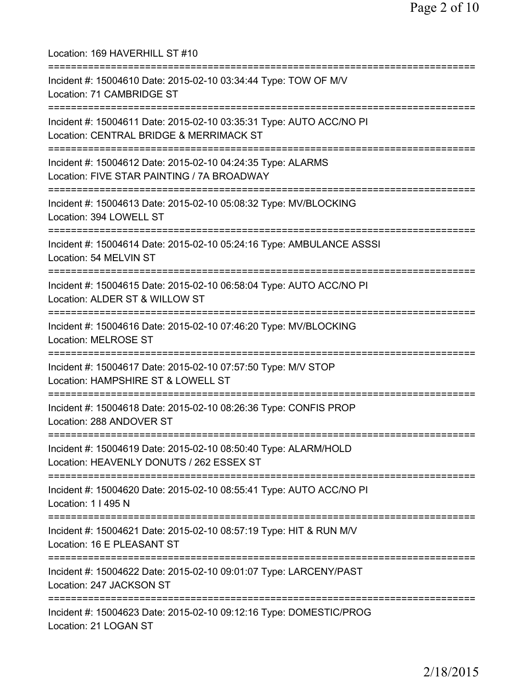Location: 169 HAVERHILL ST #10 =========================================================================== Incident #: 15004610 Date: 2015-02-10 03:34:44 Type: TOW OF M/V Location: 71 CAMBRIDGE ST =========================================================================== Incident #: 15004611 Date: 2015-02-10 03:35:31 Type: AUTO ACC/NO PI Location: CENTRAL BRIDGE & MERRIMACK ST =========================================================================== Incident #: 15004612 Date: 2015-02-10 04:24:35 Type: ALARMS Location: FIVE STAR PAINTING / 7A BROADWAY =========================================================================== Incident #: 15004613 Date: 2015-02-10 05:08:32 Type: MV/BLOCKING Location: 394 LOWELL ST =========================================================================== Incident #: 15004614 Date: 2015-02-10 05:24:16 Type: AMBULANCE ASSSI Location: 54 MELVIN ST =========================================================================== Incident #: 15004615 Date: 2015-02-10 06:58:04 Type: AUTO ACC/NO PI Location: ALDER ST & WILLOW ST =========================================================================== Incident #: 15004616 Date: 2015-02-10 07:46:20 Type: MV/BLOCKING Location: MELROSE ST =========================================================================== Incident #: 15004617 Date: 2015-02-10 07:57:50 Type: M/V STOP Location: HAMPSHIRE ST & LOWELL ST =========================================================================== Incident #: 15004618 Date: 2015-02-10 08:26:36 Type: CONFIS PROP Location: 288 ANDOVER ST =========================================================================== Incident #: 15004619 Date: 2015-02-10 08:50:40 Type: ALARM/HOLD Location: HEAVENLY DONUTS / 262 ESSEX ST =========================================================================== Incident #: 15004620 Date: 2015-02-10 08:55:41 Type: AUTO ACC/NO PI Location: 1 I 495 N =========================================================================== Incident #: 15004621 Date: 2015-02-10 08:57:19 Type: HIT & RUN M/V Location: 16 E PLEASANT ST =========================================================================== Incident #: 15004622 Date: 2015-02-10 09:01:07 Type: LARCENY/PAST Location: 247 JACKSON ST =========================================================================== Incident #: 15004623 Date: 2015-02-10 09:12:16 Type: DOMESTIC/PROG Location: 21 LOGAN ST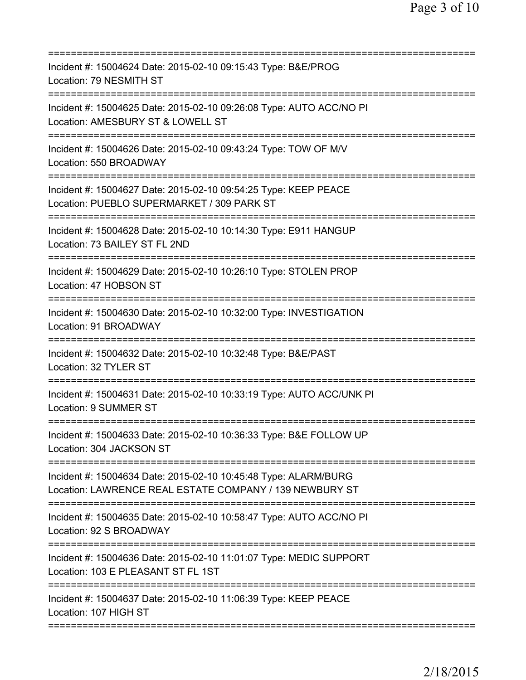| Incident #: 15004624 Date: 2015-02-10 09:15:43 Type: B&E/PROG<br>Location: 79 NESMITH ST                                               |
|----------------------------------------------------------------------------------------------------------------------------------------|
| Incident #: 15004625 Date: 2015-02-10 09:26:08 Type: AUTO ACC/NO PI<br>Location: AMESBURY ST & LOWELL ST                               |
| Incident #: 15004626 Date: 2015-02-10 09:43:24 Type: TOW OF M/V<br>Location: 550 BROADWAY                                              |
| Incident #: 15004627 Date: 2015-02-10 09:54:25 Type: KEEP PEACE<br>Location: PUEBLO SUPERMARKET / 309 PARK ST<br>===================== |
| Incident #: 15004628 Date: 2015-02-10 10:14:30 Type: E911 HANGUP<br>Location: 73 BAILEY ST FL 2ND                                      |
| Incident #: 15004629 Date: 2015-02-10 10:26:10 Type: STOLEN PROP<br>Location: 47 HOBSON ST                                             |
| Incident #: 15004630 Date: 2015-02-10 10:32:00 Type: INVESTIGATION<br>Location: 91 BROADWAY                                            |
| Incident #: 15004632 Date: 2015-02-10 10:32:48 Type: B&E/PAST<br>Location: 32 TYLER ST                                                 |
| Incident #: 15004631 Date: 2015-02-10 10:33:19 Type: AUTO ACC/UNK PI<br><b>Location: 9 SUMMER ST</b>                                   |
| Incident #: 15004633 Date: 2015-02-10 10:36:33 Type: B&E FOLLOW UP<br>Location: 304 JACKSON ST                                         |
| Incident #: 15004634 Date: 2015-02-10 10:45:48 Type: ALARM/BURG<br>Location: LAWRENCE REAL ESTATE COMPANY / 139 NEWBURY ST             |
| Incident #: 15004635 Date: 2015-02-10 10:58:47 Type: AUTO ACC/NO PI<br>Location: 92 S BROADWAY                                         |
| Incident #: 15004636 Date: 2015-02-10 11:01:07 Type: MEDIC SUPPORT<br>Location: 103 E PLEASANT ST FL 1ST                               |
| Incident #: 15004637 Date: 2015-02-10 11:06:39 Type: KEEP PEACE<br>Location: 107 HIGH ST                                               |
|                                                                                                                                        |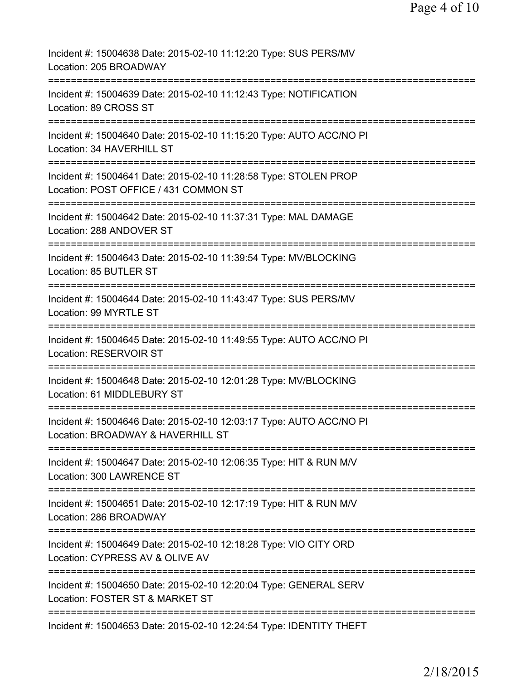| Incident #: 15004638 Date: 2015-02-10 11:12:20 Type: SUS PERS/MV<br>Location: 205 BROADWAY                                             |
|----------------------------------------------------------------------------------------------------------------------------------------|
| Incident #: 15004639 Date: 2015-02-10 11:12:43 Type: NOTIFICATION<br>Location: 89 CROSS ST                                             |
| Incident #: 15004640 Date: 2015-02-10 11:15:20 Type: AUTO ACC/NO PI<br>Location: 34 HAVERHILL ST                                       |
| Incident #: 15004641 Date: 2015-02-10 11:28:58 Type: STOLEN PROP<br>Location: POST OFFICE / 431 COMMON ST                              |
| Incident #: 15004642 Date: 2015-02-10 11:37:31 Type: MAL DAMAGE<br>Location: 288 ANDOVER ST                                            |
| Incident #: 15004643 Date: 2015-02-10 11:39:54 Type: MV/BLOCKING<br>Location: 85 BUTLER ST                                             |
| Incident #: 15004644 Date: 2015-02-10 11:43:47 Type: SUS PERS/MV<br>Location: 99 MYRTLE ST                                             |
| Incident #: 15004645 Date: 2015-02-10 11:49:55 Type: AUTO ACC/NO PI<br>Location: RESERVOIR ST                                          |
| :===================================<br>Incident #: 15004648 Date: 2015-02-10 12:01:28 Type: MV/BLOCKING<br>Location: 61 MIDDLEBURY ST |
| Incident #: 15004646 Date: 2015-02-10 12:03:17 Type: AUTO ACC/NO PI<br>Location: BROADWAY & HAVERHILL ST                               |
| Incident #: 15004647 Date: 2015-02-10 12:06:35 Type: HIT & RUN M/V<br>Location: 300 LAWRENCE ST                                        |
| Incident #: 15004651 Date: 2015-02-10 12:17:19 Type: HIT & RUN M/V<br>Location: 286 BROADWAY                                           |
| Incident #: 15004649 Date: 2015-02-10 12:18:28 Type: VIO CITY ORD<br>Location: CYPRESS AV & OLIVE AV                                   |
| Incident #: 15004650 Date: 2015-02-10 12:20:04 Type: GENERAL SERV<br>Location: FOSTER ST & MARKET ST                                   |
| Incident #: 15004653 Date: 2015-02-10 12:24:54 Type: IDENTITY THEFT                                                                    |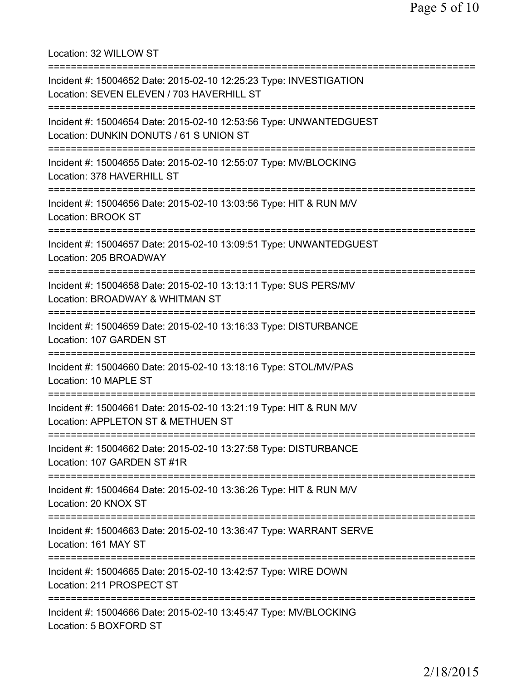Location: 32 WILLOW ST =========================================================================== Incident #: 15004652 Date: 2015-02-10 12:25:23 Type: INVESTIGATION Location: SEVEN ELEVEN / 703 HAVERHILL ST =========================================================================== Incident #: 15004654 Date: 2015-02-10 12:53:56 Type: UNWANTEDGUEST Location: DUNKIN DONUTS / 61 S UNION ST =========================================================================== Incident #: 15004655 Date: 2015-02-10 12:55:07 Type: MV/BLOCKING Location: 378 HAVERHILL ST =========================================================================== Incident #: 15004656 Date: 2015-02-10 13:03:56 Type: HIT & RUN M/V Location: BROOK ST =========================================================================== Incident #: 15004657 Date: 2015-02-10 13:09:51 Type: UNWANTEDGUEST Location: 205 BROADWAY =========================================================================== Incident #: 15004658 Date: 2015-02-10 13:13:11 Type: SUS PERS/MV Location: BROADWAY & WHITMAN ST =========================================================================== Incident #: 15004659 Date: 2015-02-10 13:16:33 Type: DISTURBANCE Location: 107 GARDEN ST =========================================================================== Incident #: 15004660 Date: 2015-02-10 13:18:16 Type: STOL/MV/PAS Location: 10 MAPLE ST =========================================================================== Incident #: 15004661 Date: 2015-02-10 13:21:19 Type: HIT & RUN M/V Location: APPLETON ST & METHUEN ST =========================================================================== Incident #: 15004662 Date: 2015-02-10 13:27:58 Type: DISTURBANCE Location: 107 GARDEN ST #1R =========================================================================== Incident #: 15004664 Date: 2015-02-10 13:36:26 Type: HIT & RUN M/V Location: 20 KNOX ST =========================================================================== Incident #: 15004663 Date: 2015-02-10 13:36:47 Type: WARRANT SERVE Location: 161 MAY ST =========================================================================== Incident #: 15004665 Date: 2015-02-10 13:42:57 Type: WIRE DOWN Location: 211 PROSPECT ST =========================================================================== Incident #: 15004666 Date: 2015-02-10 13:45:47 Type: MV/BLOCKING Location: 5 BOXFORD ST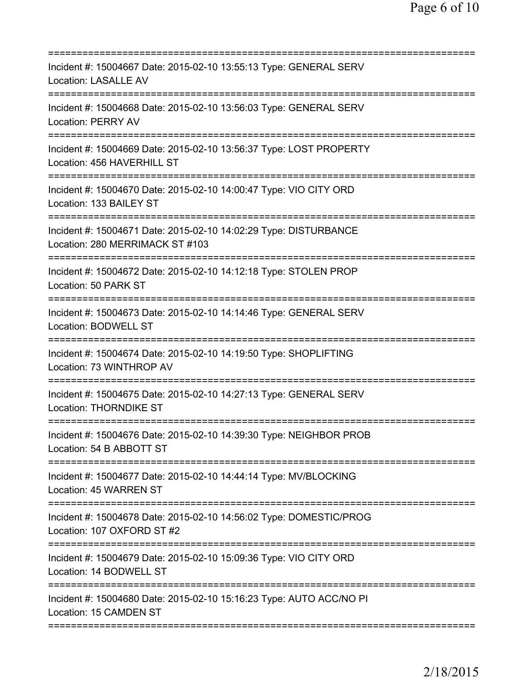| Incident #: 15004667 Date: 2015-02-10 13:55:13 Type: GENERAL SERV<br>Location: LASALLE AV           |
|-----------------------------------------------------------------------------------------------------|
| Incident #: 15004668 Date: 2015-02-10 13:56:03 Type: GENERAL SERV<br><b>Location: PERRY AV</b>      |
| Incident #: 15004669 Date: 2015-02-10 13:56:37 Type: LOST PROPERTY<br>Location: 456 HAVERHILL ST    |
| Incident #: 15004670 Date: 2015-02-10 14:00:47 Type: VIO CITY ORD<br>Location: 133 BAILEY ST        |
| Incident #: 15004671 Date: 2015-02-10 14:02:29 Type: DISTURBANCE<br>Location: 280 MERRIMACK ST #103 |
| Incident #: 15004672 Date: 2015-02-10 14:12:18 Type: STOLEN PROP<br>Location: 50 PARK ST            |
| Incident #: 15004673 Date: 2015-02-10 14:14:46 Type: GENERAL SERV<br><b>Location: BODWELL ST</b>    |
| Incident #: 15004674 Date: 2015-02-10 14:19:50 Type: SHOPLIFTING<br>Location: 73 WINTHROP AV        |
| Incident #: 15004675 Date: 2015-02-10 14:27:13 Type: GENERAL SERV<br><b>Location: THORNDIKE ST</b>  |
| Incident #: 15004676 Date: 2015-02-10 14:39:30 Type: NEIGHBOR PROB<br>Location: 54 B ABBOTT ST      |
| Incident #: 15004677 Date: 2015-02-10 14:44:14 Type: MV/BLOCKING<br>Location: 45 WARREN ST          |
| Incident #: 15004678 Date: 2015-02-10 14:56:02 Type: DOMESTIC/PROG<br>Location: 107 OXFORD ST #2    |
| Incident #: 15004679 Date: 2015-02-10 15:09:36 Type: VIO CITY ORD<br>Location: 14 BODWELL ST        |
| Incident #: 15004680 Date: 2015-02-10 15:16:23 Type: AUTO ACC/NO PI<br>Location: 15 CAMDEN ST       |
|                                                                                                     |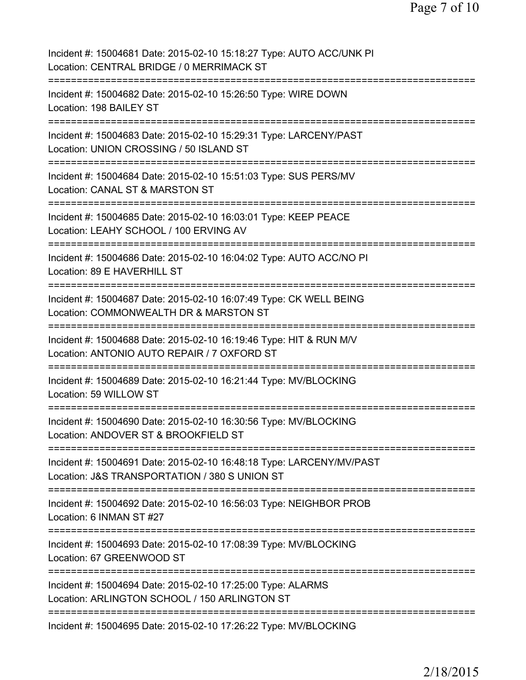| Incident #: 15004681 Date: 2015-02-10 15:18:27 Type: AUTO ACC/UNK PI<br>Location: CENTRAL BRIDGE / 0 MERRIMACK ST                   |
|-------------------------------------------------------------------------------------------------------------------------------------|
| Incident #: 15004682 Date: 2015-02-10 15:26:50 Type: WIRE DOWN<br>Location: 198 BAILEY ST                                           |
| Incident #: 15004683 Date: 2015-02-10 15:29:31 Type: LARCENY/PAST<br>Location: UNION CROSSING / 50 ISLAND ST                        |
| Incident #: 15004684 Date: 2015-02-10 15:51:03 Type: SUS PERS/MV<br>Location: CANAL ST & MARSTON ST                                 |
| Incident #: 15004685 Date: 2015-02-10 16:03:01 Type: KEEP PEACE<br>Location: LEAHY SCHOOL / 100 ERVING AV                           |
| Incident #: 15004686 Date: 2015-02-10 16:04:02 Type: AUTO ACC/NO PI<br>Location: 89 E HAVERHILL ST<br>:==============:              |
| Incident #: 15004687 Date: 2015-02-10 16:07:49 Type: CK WELL BEING<br>Location: COMMONWEALTH DR & MARSTON ST<br>=================== |
| Incident #: 15004688 Date: 2015-02-10 16:19:46 Type: HIT & RUN M/V<br>Location: ANTONIO AUTO REPAIR / 7 OXFORD ST                   |
| Incident #: 15004689 Date: 2015-02-10 16:21:44 Type: MV/BLOCKING<br>Location: 59 WILLOW ST<br>==========================            |
| Incident #: 15004690 Date: 2015-02-10 16:30:56 Type: MV/BLOCKING<br>Location: ANDOVER ST & BROOKFIELD ST                            |
| Incident #: 15004691 Date: 2015-02-10 16:48:18 Type: LARCENY/MV/PAST<br>Location: J&S TRANSPORTATION / 380 S UNION ST               |
| Incident #: 15004692 Date: 2015-02-10 16:56:03 Type: NEIGHBOR PROB<br>Location: 6 INMAN ST #27                                      |
| Incident #: 15004693 Date: 2015-02-10 17:08:39 Type: MV/BLOCKING<br>Location: 67 GREENWOOD ST                                       |
| Incident #: 15004694 Date: 2015-02-10 17:25:00 Type: ALARMS<br>Location: ARLINGTON SCHOOL / 150 ARLINGTON ST                        |
| Incident #: 15004695 Date: 2015-02-10 17:26:22 Type: MV/BLOCKING                                                                    |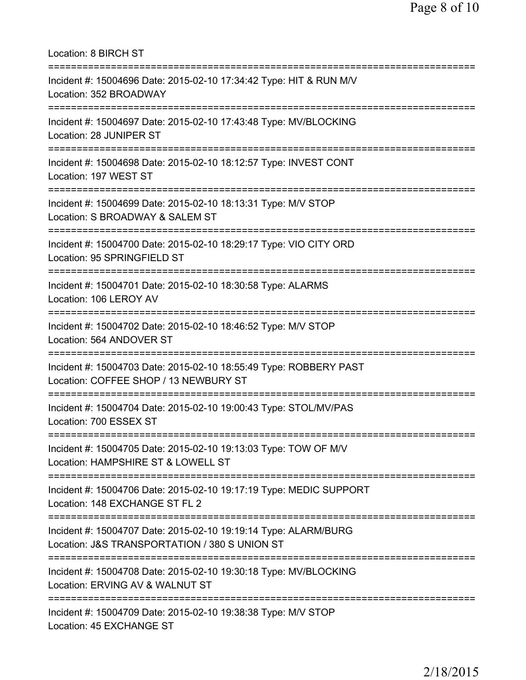| <b>Location: 8 BIRCH ST</b>                                                                                                                                             |
|-------------------------------------------------------------------------------------------------------------------------------------------------------------------------|
| Incident #: 15004696 Date: 2015-02-10 17:34:42 Type: HIT & RUN M/V<br>Location: 352 BROADWAY                                                                            |
| Incident #: 15004697 Date: 2015-02-10 17:43:48 Type: MV/BLOCKING<br>Location: 28 JUNIPER ST                                                                             |
| Incident #: 15004698 Date: 2015-02-10 18:12:57 Type: INVEST CONT<br>Location: 197 WEST ST                                                                               |
| Incident #: 15004699 Date: 2015-02-10 18:13:31 Type: M/V STOP<br>Location: S BROADWAY & SALEM ST                                                                        |
| =============================<br>Incident #: 15004700 Date: 2015-02-10 18:29:17 Type: VIO CITY ORD<br>Location: 95 SPRINGFIELD ST<br>:================================= |
| Incident #: 15004701 Date: 2015-02-10 18:30:58 Type: ALARMS<br>Location: 106 LEROY AV                                                                                   |
| Incident #: 15004702 Date: 2015-02-10 18:46:52 Type: M/V STOP<br>Location: 564 ANDOVER ST                                                                               |
| Incident #: 15004703 Date: 2015-02-10 18:55:49 Type: ROBBERY PAST<br>Location: COFFEE SHOP / 13 NEWBURY ST                                                              |
| Incident #: 15004704 Date: 2015-02-10 19:00:43 Type: STOL/MV/PAS<br>Location: 700 ESSEX ST                                                                              |
| Incident #: 15004705 Date: 2015-02-10 19:13:03 Type: TOW OF M/V<br>Location: HAMPSHIRE ST & LOWELL ST                                                                   |
| Incident #: 15004706 Date: 2015-02-10 19:17:19 Type: MEDIC SUPPORT<br>Location: 148 EXCHANGE ST FL 2                                                                    |
| Incident #: 15004707 Date: 2015-02-10 19:19:14 Type: ALARM/BURG<br>Location: J&S TRANSPORTATION / 380 S UNION ST                                                        |
| Incident #: 15004708 Date: 2015-02-10 19:30:18 Type: MV/BLOCKING<br>Location: ERVING AV & WALNUT ST                                                                     |
| Incident #: 15004709 Date: 2015-02-10 19:38:38 Type: M/V STOP<br>Location: 45 EXCHANGE ST                                                                               |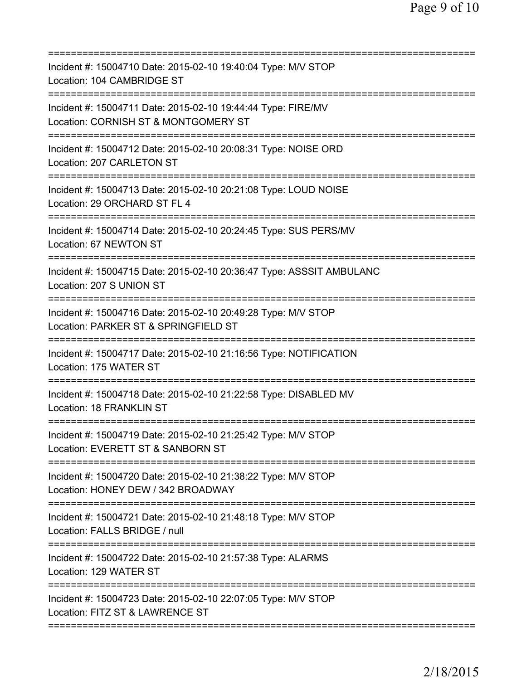| Incident #: 15004710 Date: 2015-02-10 19:40:04 Type: M/V STOP<br>Location: 104 CAMBRIDGE ST                                        |
|------------------------------------------------------------------------------------------------------------------------------------|
| Incident #: 15004711 Date: 2015-02-10 19:44:44 Type: FIRE/MV<br>Location: CORNISH ST & MONTGOMERY ST                               |
| Incident #: 15004712 Date: 2015-02-10 20:08:31 Type: NOISE ORD<br>Location: 207 CARLETON ST                                        |
| Incident #: 15004713 Date: 2015-02-10 20:21:08 Type: LOUD NOISE<br>Location: 29 ORCHARD ST FL 4                                    |
| Incident #: 15004714 Date: 2015-02-10 20:24:45 Type: SUS PERS/MV<br>Location: 67 NEWTON ST                                         |
| Incident #: 15004715 Date: 2015-02-10 20:36:47 Type: ASSSIT AMBULANC<br>Location: 207 S UNION ST<br>============                   |
| Incident #: 15004716 Date: 2015-02-10 20:49:28 Type: M/V STOP<br>Location: PARKER ST & SPRINGFIELD ST                              |
| Incident #: 15004717 Date: 2015-02-10 21:16:56 Type: NOTIFICATION<br>Location: 175 WATER ST<br>.================================== |
| Incident #: 15004718 Date: 2015-02-10 21:22:58 Type: DISABLED MV<br><b>Location: 18 FRANKLIN ST</b>                                |
| Incident #: 15004719 Date: 2015-02-10 21:25:42 Type: M/V STOP<br>Location: EVERETT ST & SANBORN ST                                 |
| Incident #: 15004720 Date: 2015-02-10 21:38:22 Type: M/V STOP<br>Location: HONEY DEW / 342 BROADWAY                                |
| Incident #: 15004721 Date: 2015-02-10 21:48:18 Type: M/V STOP<br>Location: FALLS BRIDGE / null                                     |
| Incident #: 15004722 Date: 2015-02-10 21:57:38 Type: ALARMS<br>Location: 129 WATER ST                                              |
| Incident #: 15004723 Date: 2015-02-10 22:07:05 Type: M/V STOP<br>Location: FITZ ST & LAWRENCE ST                                   |
|                                                                                                                                    |